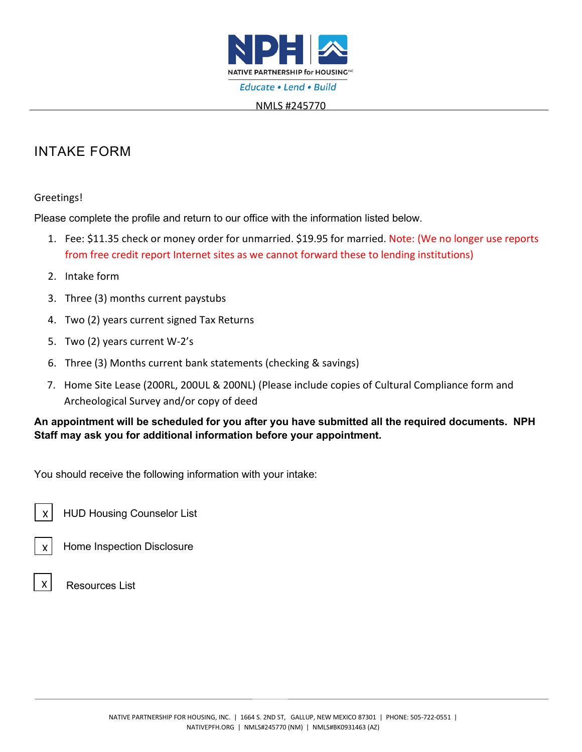

#### NMLS #245770

# INTAKE FORM

#### Greetings!

Please complete the profile and return to our office with the information listed below.

- 1. Fee: \$11.35 check or money order for unmarried. \$19.95 for married. Note: (We no longer use reports from free credit report Internet sites as we cannot forward these to lending institutions)
- 2. Intake form
- 3. Three (3) months current paystubs
- 4. Two (2) years current signed Tax Returns
- 5. Two (2) years current W-2's
- 6. Three (3) Months current bank statements (checking & savings)
- 7. Home Site Lease (200RL, 200UL & 200NL) (Please include copies of Cultural Compliance form and Archeological Survey and/or copy of deed

## **An appointment will be scheduled for you after you have submitted all the required documents. NPH Staff may ask you for additional information before your appointment.**

You should receive the following information with your intake:

 HUD Housing Counselor List X

Home Inspection Disclosure



X

Resources List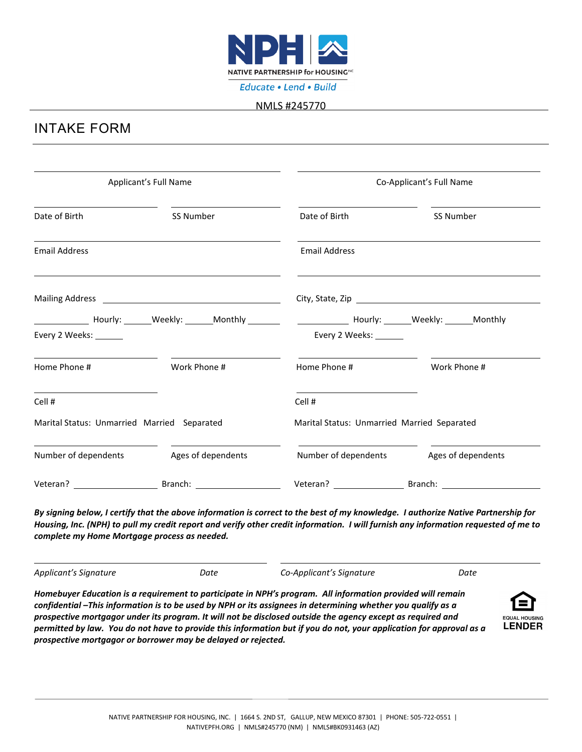

#### NMLS #245770

## INTAKE FORM

| Applicant's Full Name                       |                    | Co-Applicant's Full Name                                                                                                                        |                    |
|---------------------------------------------|--------------------|-------------------------------------------------------------------------------------------------------------------------------------------------|--------------------|
| Date of Birth                               | SS Number          | Date of Birth                                                                                                                                   | SS Number          |
| <b>Email Address</b>                        |                    | <b>Email Address</b>                                                                                                                            |                    |
|                                             |                    |                                                                                                                                                 |                    |
| Every 2 Weeks: _______                      |                    | ________________Hourly: ________Weekly: ________Monthly ________________________Hourly: ________Weekly: ______Monthly<br>Every 2 Weeks: _______ |                    |
| Home Phone #                                | Work Phone #       | Home Phone #                                                                                                                                    | Work Phone #       |
| Cell #                                      |                    | Cell #                                                                                                                                          |                    |
| Marital Status: Unmarried Married Separated |                    | Marital Status: Unmarried Married Separated                                                                                                     |                    |
| Number of dependents                        | Ages of dependents | Number of dependents                                                                                                                            | Ages of dependents |
|                                             | Veteran? Branch:   | Veteran? Branch:                                                                                                                                |                    |

*By signing below, I certify that the above information is correct to the best of my knowledge. I authorize Native Partnership for Housing, Inc. (NPH) to pull my credit report and verify other credit information. I will furnish any information requested of me to complete my Home Mortgage process as needed.* 

*Applicant's Signature Date Co-Applicant's Signature Date*

*Homebuyer Education is a requirement to participate in NPH's program. All information provided will remain confidential –This information is to be used by NPH or its assignees in determining whether you qualify as a prospective mortgagor under its program. It will not be disclosed outside the agency except as required and permitted by law. You do not have to provide this information but if you do not, your application for approval as a prospective mortgagor or borrower may be delayed or rejected.*

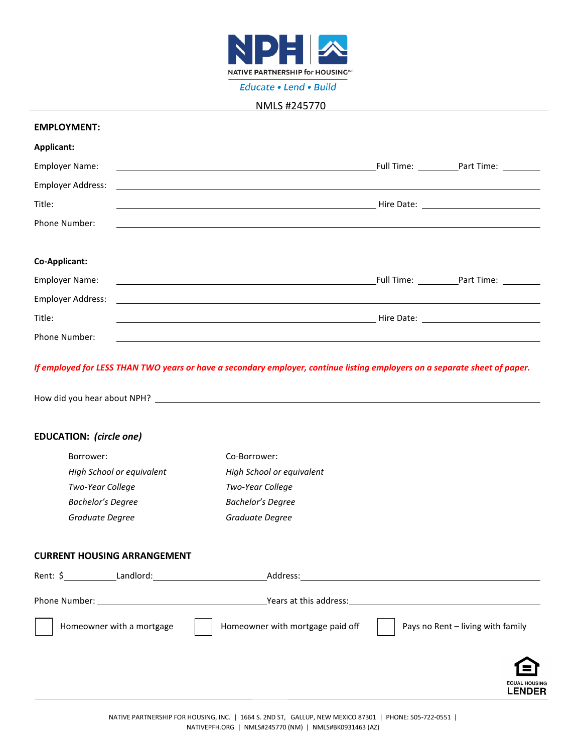

Educate . Lend . Build

#### NMLS #245770

#### **EMPLOYMENT:**

| Applicant:                                                                                                                                       |                                              |
|--------------------------------------------------------------------------------------------------------------------------------------------------|----------------------------------------------|
| <b>Employer Name:</b><br><u> 1989 - Johann Stoff, amerikansk politiker (d. 1989)</u>                                                             | Full Time: ____________Part Time: __________ |
| <b>Employer Address:</b><br><u> Alexandria de la contrada de la contrada de la contrada de la contrada de la contrada de la contrada de la c</u> |                                              |
| Title:                                                                                                                                           | <u>Hire Date: ________________________</u>   |
| Phone Number:                                                                                                                                    |                                              |
|                                                                                                                                                  |                                              |
| Co-Applicant:                                                                                                                                    |                                              |
| <b>Employer Name:</b>                                                                                                                            | Full Time: Part Time:                        |
| <b>Employer Address:</b><br><u> 1989 - Andrea Stadt Britain, amerikan bestean ing disebut bestean ing disebut bestean ing disebut bestean in</u> |                                              |
| Title:                                                                                                                                           |                                              |
| <b>Phone Number:</b>                                                                                                                             |                                              |

#### *If employed for LESS THAN TWO years or have a secondary employer, continue listing employers on a separate sheet of paper.*

How did you hear about NPH?

#### **EDUCATION:** *(circle one)*

| Borrower:                 | Co-Borrower:              |
|---------------------------|---------------------------|
| High School or equivalent | High School or equivalent |
| Two-Year College          | Two-Year College          |
| <b>Bachelor's Degree</b>  | <b>Bachelor's Degree</b>  |
| Graduate Degree           | Graduate Degree           |

### **CURRENT HOUSING ARRANGEMENT**

| Rent: $\frac{1}{2}$<br>Landlord:                                                                                                                                                                                                                      | Address:                         |                                       |
|-------------------------------------------------------------------------------------------------------------------------------------------------------------------------------------------------------------------------------------------------------|----------------------------------|---------------------------------------|
| Phone Number:<br><u>and the contract of the contract of the contract of the contract of the contract of the contract of the contract of the contract of the contract of the contract of the contract of the contract of the contract of the contr</u> | Years at this address:           |                                       |
| Homeowner with a mortgage                                                                                                                                                                                                                             | Homeowner with mortgage paid off | Pays no Rent - living with family     |
|                                                                                                                                                                                                                                                       |                                  | <b>EQUAL HOUSING</b><br><b>LENDER</b> |